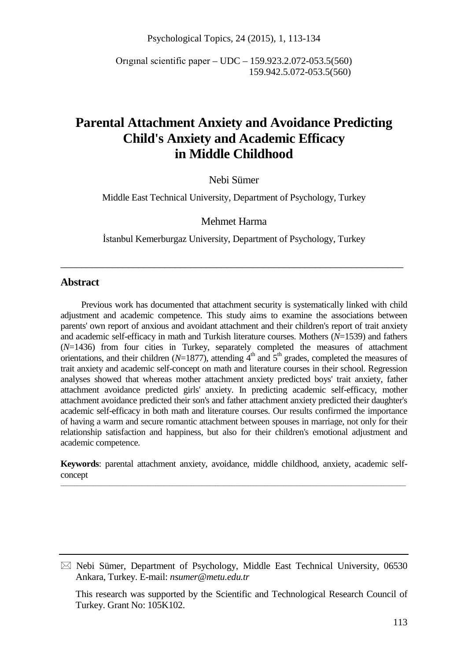Psychological Topics, 24 (2015), 1, 113-134

Orıgınal scientific paper – UDC – 159.923.2.072-053.5(560) 159.942.5.072-053.5(560)

# **Parental Attachment Anxiety and Avoidance Predicting Child's Anxiety and Academic Efficacy in Middle Childhood**

Nebi Sümer

Middle East Technical University, Department of Psychology, Turkey

Mehmet Harma

İstanbul Kemerburgaz University, Department of Psychology, Turkey

\_\_\_\_\_\_\_\_\_\_\_\_\_\_\_\_\_\_\_\_\_\_\_\_\_\_\_\_\_\_\_\_\_\_\_\_\_\_\_\_\_\_\_\_\_\_\_\_\_\_\_\_\_\_\_\_\_\_\_\_\_\_\_\_\_\_

### **Abstract**

Previous work has documented that attachment security is systematically linked with child adjustment and academic competence. This study aims to examine the associations between parents' own report of anxious and avoidant attachment and their children's report of trait anxiety and academic self-efficacy in math and Turkish literature courses. Mothers (*N*=1539) and fathers (*N*=1436) from four cities in Turkey, separately completed the measures of attachment orientations, and their children ( $N=1877$ ), attending  $4<sup>th</sup>$  and  $5<sup>th</sup>$  grades, completed the measures of trait anxiety and academic self-concept on math and literature courses in their school. Regression analyses showed that whereas mother attachment anxiety predicted boys' trait anxiety, father attachment avoidance predicted girls' anxiety. In predicting academic self-efficacy, mother attachment avoidance predicted their son's and father attachment anxiety predicted their daughter's academic self-efficacy in both math and literature courses. Our results confirmed the importance of having a warm and secure romantic attachment between spouses in marriage, not only for their relationship satisfaction and happiness, but also for their children's emotional adjustment and academic competence.

**Keywords**: parental attachment anxiety, avoidance, middle childhood, anxiety, academic selfconcept \_\_\_\_\_\_\_\_\_\_\_\_\_\_\_\_\_\_\_\_\_\_\_\_\_\_\_\_\_\_\_\_\_\_\_\_\_\_\_\_\_\_\_\_\_\_\_\_\_\_\_\_\_\_\_\_\_\_\_\_\_\_\_\_\_\_\_\_\_\_\_\_\_\_\_\_\_\_\_\_\_\_\_\_\_\_\_\_\_\_\_\_\_\_\_\_\_\_\_\_\_\_\_\_\_\_\_\_\_\_\_\_\_\_\_\_\_\_\_\_\_\_\_\_\_\_\_

 $\boxtimes$  Nebi Sümer, Department of Psychology, Middle East Technical University, 06530 Ankara, Turkey. E-mail: *nsumer@metu.edu.tr*

This research was supported by the Scientific and Technological Research Council of Turkey. Grant No: 105K102.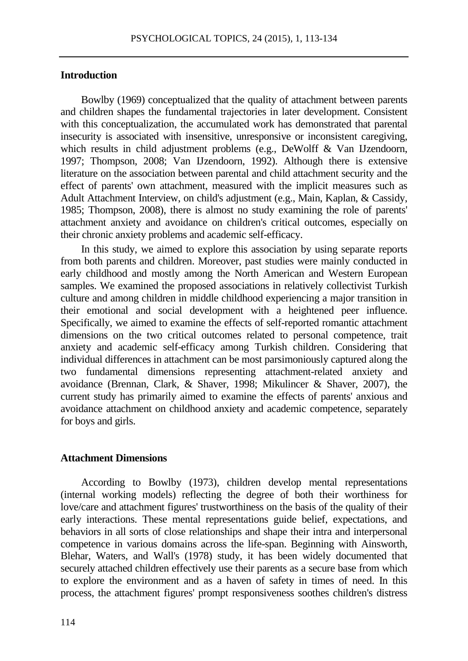## **Introduction**

Bowlby (1969) conceptualized that the quality of attachment between parents and children shapes the fundamental trajectories in later development. Consistent with this conceptualization, the accumulated work has demonstrated that parental insecurity is associated with insensitive, unresponsive or inconsistent caregiving, which results in child adjustment problems (e.g., DeWolff & Van IJzendoorn, 1997; Thompson, 2008; Van IJzendoorn, 1992). Although there is extensive literature on the association between parental and child attachment security and the effect of parents' own attachment, measured with the implicit measures such as Adult Attachment Interview, on child's adjustment (e.g., Main, Kaplan, & Cassidy, 1985; Thompson, 2008), there is almost no study examining the role of parents' attachment anxiety and avoidance on children's critical outcomes, especially on their chronic anxiety problems and academic self-efficacy.

In this study, we aimed to explore this association by using separate reports from both parents and children. Moreover, past studies were mainly conducted in early childhood and mostly among the North American and Western European samples. We examined the proposed associations in relatively collectivist Turkish culture and among children in middle childhood experiencing a major transition in their emotional and social development with a heightened peer influence. Specifically, we aimed to examine the effects of self-reported romantic attachment dimensions on the two critical outcomes related to personal competence, trait anxiety and academic self-efficacy among Turkish children. Considering that individual differences in attachment can be most parsimoniously captured along the two fundamental dimensions representing attachment-related anxiety and avoidance (Brennan, Clark, & Shaver, 1998; Mikulincer & Shaver, 2007), the current study has primarily aimed to examine the effects of parents' anxious and avoidance attachment on childhood anxiety and academic competence, separately for boys and girls.

#### **Attachment Dimensions**

According to Bowlby (1973), children develop mental representations (internal working models) reflecting the degree of both their worthiness for love/care and attachment figures' trustworthiness on the basis of the quality of their early interactions. These mental representations guide belief, expectations, and behaviors in all sorts of close relationships and shape their intra and interpersonal competence in various domains across the life-span. Beginning with Ainsworth, Blehar, Waters, and Wall's (1978) study, it has been widely documented that securely attached children effectively use their parents as a secure base from which to explore the environment and as a haven of safety in times of need. In this process, the attachment figures' prompt responsiveness soothes children's distress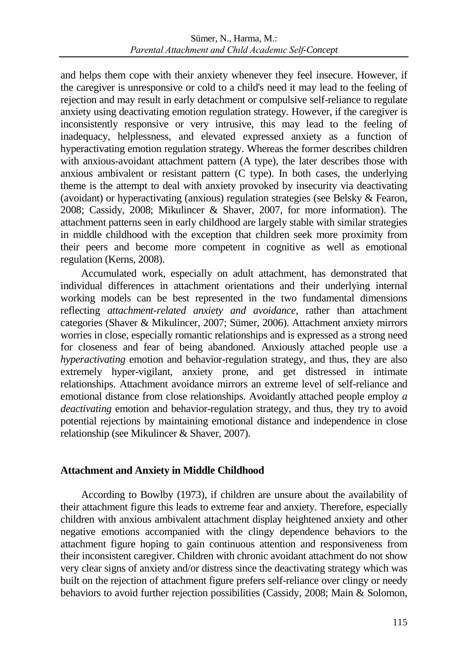and helps them cope with their anxiety whenever they feel insecure. However, if the caregiver is unresponsive or cold to a child's need it may lead to the feeling of rejection and may result in early detachment or compulsive self-reliance to regulate anxiety using deactivating emotion regulation strategy. However, if the caregiver is inconsistently responsive or very intrusive, this may lead to the feeling of inadequacy, helplessness, and elevated expressed anxiety as a function of hyperactivating emotion regulation strategy. Whereas the former describes children with anxious-avoidant attachment pattern (A type), the later describes those with anxious ambivalent or resistant pattern (C type). In both cases, the underlying theme is the attempt to deal with anxiety provoked by insecurity via deactivating (avoidant) or hyperactivating (anxious) regulation strategies (see Belsky & Fearon, 2008; Cassidy, 2008; Mikulincer & Shaver, 2007, for more information). The attachment patterns seen in early childhood are largely stable with similar strategies in middle childhood with the exception that children seek more proximity from their peers and become more competent in cognitive as well as emotional regulation (Kerns, 2008).

Accumulated work, especially on adult attachment, has demonstrated that individual differences in attachment orientations and their underlying internal working models can be best represented in the two fundamental dimensions reflecting *attachment-related anxiety and avoidance*, rather than attachment categories (Shaver & Mikulincer, 2007; Sümer, 2006). Attachment anxiety mirrors worries in close, especially romantic relationships and is expressed as a strong need for closeness and fear of being abandoned. Anxiously attached people use a *hyperactivating* emotion and behavior-regulation strategy, and thus, they are also extremely hyper-vigilant, anxiety prone, and get distressed in intimate relationships. Attachment avoidance mirrors an extreme level of self-reliance and emotional distance from close relationships. Avoidantly attached people employ *a deactivating* emotion and behavior-regulation strategy, and thus, they try to avoid potential rejections by maintaining emotional distance and independence in close relationship (see Mikulincer & Shaver, 2007).

# **Attachment and Anxiety in Middle Childhood**

According to Bowlby (1973), if children are unsure about the availability of their attachment figure this leads to extreme fear and anxiety. Therefore, especially children with anxious ambivalent attachment display heightened anxiety and other negative emotions accompanied with the clingy dependence behaviors to the attachment figure hoping to gain continuous attention and responsiveness from their inconsistent caregiver. Children with chronic avoidant attachment do not show very clear signs of anxiety and/or distress since the deactivating strategy which was built on the rejection of attachment figure prefers self-reliance over clingy or needy behaviors to avoid further rejection possibilities (Cassidy, 2008; Main & Solomon,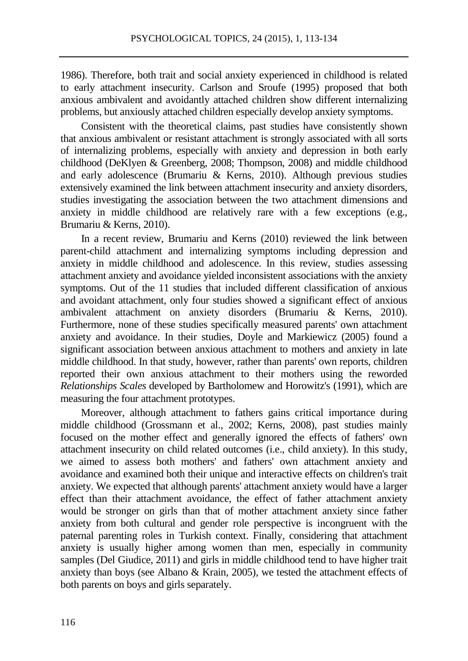1986). Therefore, both trait and social anxiety experienced in childhood is related to early attachment insecurity. Carlson and Sroufe (1995) proposed that both anxious ambivalent and avoidantly attached children show different internalizing problems, but anxiously attached children especially develop anxiety symptoms.

Consistent with the theoretical claims, past studies have consistently shown that anxious ambivalent or resistant attachment is strongly associated with all sorts of internalizing problems, especially with anxiety and depression in both early childhood (DeKlyen & Greenberg, 2008; Thompson, 2008) and middle childhood and early adolescence (Brumariu & Kerns, 2010). Although previous studies extensively examined the link between attachment insecurity and anxiety disorders, studies investigating the association between the two attachment dimensions and anxiety in middle childhood are relatively rare with a few exceptions (e.g., Brumariu & Kerns, 2010).

In a recent review, Brumariu and Kerns (2010) reviewed the link between parent-child attachment and internalizing symptoms including depression and anxiety in middle childhood and adolescence. In this review, studies assessing attachment anxiety and avoidance yielded inconsistent associations with the anxiety symptoms. Out of the 11 studies that included different classification of anxious and avoidant attachment, only four studies showed a significant effect of anxious ambivalent attachment on anxiety disorders (Brumariu & Kerns, 2010). Furthermore, none of these studies specifically measured parents' own attachment anxiety and avoidance. In their studies, Doyle and Markiewicz (2005) found a significant association between anxious attachment to mothers and anxiety in late middle childhood. In that study, however, rather than parents' own reports, children reported their own anxious attachment to their mothers using the reworded *Relationships Scales* developed by Bartholomew and Horowitz's (1991), which are measuring the four attachment prototypes.

Moreover, although attachment to fathers gains critical importance during middle childhood (Grossmann et al., 2002; Kerns, 2008), past studies mainly focused on the mother effect and generally ignored the effects of fathers' own attachment insecurity on child related outcomes (i.e., child anxiety). In this study, we aimed to assess both mothers' and fathers' own attachment anxiety and avoidance and examined both their unique and interactive effects on children's trait anxiety. We expected that although parents' attachment anxiety would have a larger effect than their attachment avoidance, the effect of father attachment anxiety would be stronger on girls than that of mother attachment anxiety since father anxiety from both cultural and gender role perspective is incongruent with the paternal parenting roles in Turkish context. Finally, considering that attachment anxiety is usually higher among women than men, especially in community samples (Del Giudice, 2011) and girls in middle childhood tend to have higher trait anxiety than boys (see Albano & Krain, 2005), we tested the attachment effects of both parents on boys and girls separately.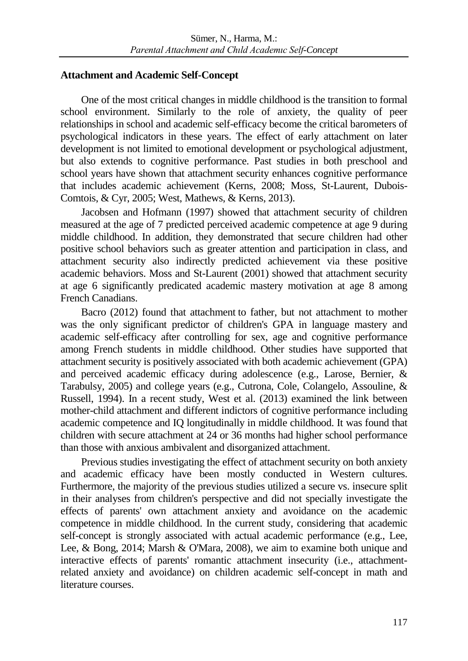## **Attachment and Academic Self-Concept**

One of the most critical changes in middle childhood is the transition to formal school environment. Similarly to the role of anxiety, the quality of peer relationships in school and academic self-efficacy become the critical barometers of psychological indicators in these years. The effect of early attachment on later development is not limited to emotional development or psychological adjustment, but also extends to cognitive performance. Past studies in both preschool and school years have shown that attachment security enhances cognitive performance that includes academic achievement (Kerns, 2008; Moss, St-Laurent, Dubois-Comtois, & Cyr, 2005; West, Mathews, & Kerns, 2013).

Jacobsen and Hofmann (1997) showed that attachment security of children measured at the age of 7 predicted perceived academic competence at age 9 during middle childhood. In addition, they demonstrated that secure children had other positive school behaviors such as greater attention and participation in class, and attachment security also indirectly predicted achievement via these positive academic behaviors. Moss and St-Laurent (2001) showed that attachment security at age 6 significantly predicated academic mastery motivation at age 8 among French Canadians.

Bacro (2012) found that attachment to father, but not attachment to mother was the only significant predictor of children's GPA in language mastery and academic self-efficacy after controlling for sex, age and cognitive performance among French students in middle childhood. Other studies have supported that attachment security is positively associated with both academic achievement (GPA) and perceived academic efficacy during adolescence (e.g., Larose, Bernier, & Tarabulsy, 2005) and college years (e.g., Cutrona, Cole, Colangelo, Assouline, & Russell, 1994). In a recent study, West et al. (2013) examined the link between mother-child attachment and different indictors of cognitive performance including academic competence and IQ longitudinally in middle childhood. It was found that children with secure attachment at 24 or 36 months had higher school performance than those with anxious ambivalent and disorganized attachment.

Previous studies investigating the effect of attachment security on both anxiety and academic efficacy have been mostly conducted in Western cultures. Furthermore, the majority of the previous studies utilized a secure vs. insecure split in their analyses from children's perspective and did not specially investigate the effects of parents' own attachment anxiety and avoidance on the academic competence in middle childhood. In the current study, considering that academic self-concept is strongly associated with actual academic performance (e.g., Lee, Lee, & Bong, 2014; Marsh & O'Mara, 2008), we aim to examine both unique and interactive effects of parents' romantic attachment insecurity (i.e., attachmentrelated anxiety and avoidance) on children academic self-concept in math and literature courses.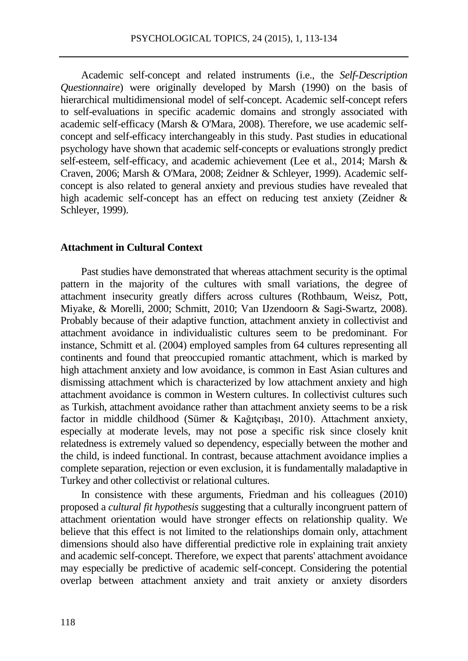Academic self-concept and related instruments (i.e., the *Self-Description Questionnaire*) were originally developed by Marsh (1990) on the basis of hierarchical multidimensional model of self-concept. Academic self-concept refers to self-evaluations in specific academic domains and strongly associated with academic self-efficacy (Marsh & O'Mara, 2008). Therefore, we use academic selfconcept and self-efficacy interchangeably in this study. Past studies in educational psychology have shown that academic self-concepts or evaluations strongly predict self-esteem, self-efficacy, and academic achievement (Lee et al., 2014; Marsh & Craven, 2006; Marsh & O'Mara, 2008; Zeidner & Schleyer, 1999). Academic selfconcept is also related to general anxiety and previous studies have revealed that high academic self-concept has an effect on reducing test anxiety (Zeidner & Schleyer, 1999).

### **Attachment in Cultural Context**

Past studies have demonstrated that whereas attachment security is the optimal pattern in the majority of the cultures with small variations, the degree of attachment insecurity greatly differs across cultures (Rothbaum, Weisz, Pott, Miyake, & Morelli, 2000; Schmitt, 2010; Van IJzendoorn & Sagi-Swartz, 2008). Probably because of their adaptive function, attachment anxiety in collectivist and attachment avoidance in individualistic cultures seem to be predominant. For instance, Schmitt et al. (2004) employed samples from 64 cultures representing all continents and found that preoccupied romantic attachment, which is marked by high attachment anxiety and low avoidance, is common in East Asian cultures and dismissing attachment which is characterized by low attachment anxiety and high attachment avoidance is common in Western cultures. In collectivist cultures such as Turkish, attachment avoidance rather than attachment anxiety seems to be a risk factor in middle childhood (Sümer & Kağıtçıbaşı, 2010). Attachment anxiety, especially at moderate levels, may not pose a specific risk since closely knit relatedness is extremely valued so dependency, especially between the mother and the child, is indeed functional. In contrast, because attachment avoidance implies a complete separation, rejection or even exclusion, it is fundamentally maladaptive in Turkey and other collectivist or relational cultures.

In consistence with these arguments, Friedman and his colleagues (2010) proposed a *cultural fit hypothesis* suggesting that a culturally incongruent pattern of attachment orientation would have stronger effects on relationship quality. We believe that this effect is not limited to the relationships domain only, attachment dimensions should also have differential predictive role in explaining trait anxiety and academic self-concept. Therefore, we expect that parents' attachment avoidance may especially be predictive of academic self-concept. Considering the potential overlap between attachment anxiety and trait anxiety or anxiety disorders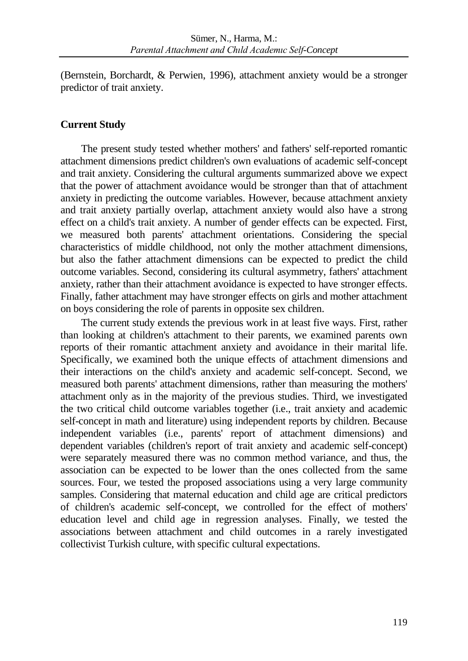(Bernstein, Borchardt, & Perwien, 1996), attachment anxiety would be a stronger predictor of trait anxiety.

# **Current Study**

The present study tested whether mothers' and fathers' self-reported romantic attachment dimensions predict children's own evaluations of academic self-concept and trait anxiety. Considering the cultural arguments summarized above we expect that the power of attachment avoidance would be stronger than that of attachment anxiety in predicting the outcome variables. However, because attachment anxiety and trait anxiety partially overlap, attachment anxiety would also have a strong effect on a child's trait anxiety. A number of gender effects can be expected. First, we measured both parents' attachment orientations. Considering the special characteristics of middle childhood, not only the mother attachment dimensions, but also the father attachment dimensions can be expected to predict the child outcome variables. Second, considering its cultural asymmetry, fathers' attachment anxiety, rather than their attachment avoidance is expected to have stronger effects. Finally, father attachment may have stronger effects on girls and mother attachment on boys considering the role of parents in opposite sex children.

The current study extends the previous work in at least five ways. First, rather than looking at children's attachment to their parents, we examined parents own reports of their romantic attachment anxiety and avoidance in their marital life. Specifically, we examined both the unique effects of attachment dimensions and their interactions on the child's anxiety and academic self-concept. Second, we measured both parents' attachment dimensions, rather than measuring the mothers' attachment only as in the majority of the previous studies. Third, we investigated the two critical child outcome variables together (i.e., trait anxiety and academic self-concept in math and literature) using independent reports by children. Because independent variables (i.e., parents' report of attachment dimensions) and dependent variables (children's report of trait anxiety and academic self-concept) were separately measured there was no common method variance, and thus, the association can be expected to be lower than the ones collected from the same sources. Four, we tested the proposed associations using a very large community samples. Considering that maternal education and child age are critical predictors of children's academic self-concept, we controlled for the effect of mothers' education level and child age in regression analyses. Finally, we tested the associations between attachment and child outcomes in a rarely investigated collectivist Turkish culture, with specific cultural expectations.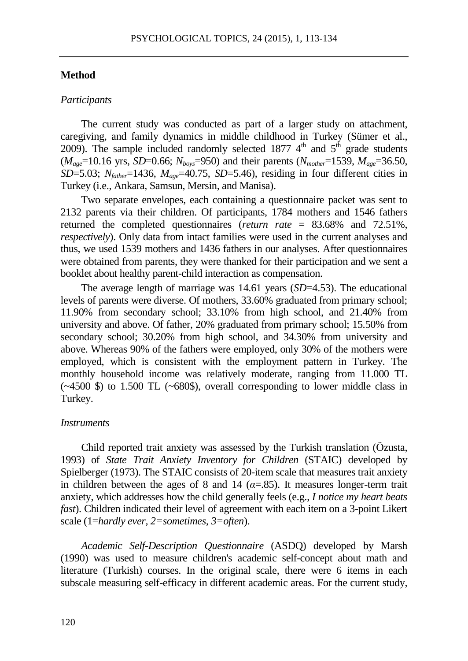#### **Method**

#### *Participants*

The current study was conducted as part of a larger study on attachment, caregiving, and family dynamics in middle childhood in Turkey (Sümer et al., 2009). The sample included randomly selected 1877  $4<sup>th</sup>$  and  $5<sup>th</sup>$  grade students (*Mage*=10.16 yrs, *SD*=0.66; *Nboys*=950) and their parents (*Nmother*=1539, *Mage*=36.50,  $SD=5.03$ ;  $N_{\text{father}}=1436$ ,  $M_{\text{age}}=40.75$ ,  $SD=5.46$ ), residing in four different cities in Turkey (i.e., Ankara, Samsun, Mersin, and Manisa).

Two separate envelopes, each containing a questionnaire packet was sent to 2132 parents via their children. Of participants, 1784 mothers and 1546 fathers returned the completed questionnaires (*return rate* = 83.68% and 72.51%, *respectively*). Only data from intact families were used in the current analyses and thus, we used 1539 mothers and 1436 fathers in our analyses. After questionnaires were obtained from parents, they were thanked for their participation and we sent a booklet about healthy parent-child interaction as compensation.

The average length of marriage was 14.61 years (*SD*=4.53). The educational levels of parents were diverse. Of mothers, 33.60% graduated from primary school; 11.90% from secondary school; 33.10% from high school, and 21.40% from university and above. Of father, 20% graduated from primary school; 15.50% from secondary school; 30.20% from high school, and 34.30% from university and above. Whereas 90% of the fathers were employed, only 30% of the mothers were employed, which is consistent with the employment pattern in Turkey. The monthly household income was relatively moderate, ranging from 11.000 TL (~4500 \$) to 1.500 TL (~680\$), overall corresponding to lower middle class in Turkey.

#### *Instruments*

Child reported trait anxiety was assessed by the Turkish translation (Özusta, 1993) of *State Trait Anxiety Inventory for Children* (STAIC) developed by Spielberger (1973). The STAIC consists of 20-item scale that measures trait anxiety in children between the ages of 8 and 14 ( $\alpha$ =.85). It measures longer-term trait anxiety, which addresses how the child generally feels (e.g., *I notice my heart beats fast*). Children indicated their level of agreement with each item on a 3-point Likert scale (1=*hardly ever, 2=sometimes, 3=often*).

*Academic Self-Description Questionnaire* (ASDQ) developed by Marsh (1990) was used to measure children's academic self-concept about math and literature (Turkish) courses. In the original scale, there were 6 items in each subscale measuring self-efficacy in different academic areas. For the current study,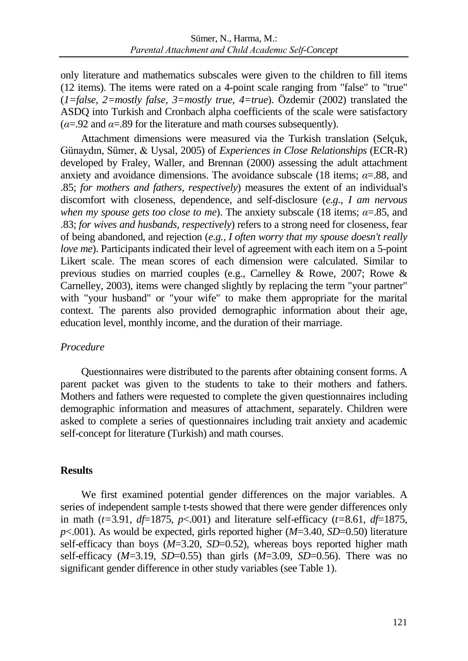only literature and mathematics subscales were given to the children to fill items (12 items). The items were rated on a 4-point scale ranging from "false" to "true" (*1=false, 2=mostly false, 3=mostly true, 4=true*). Özdemir (2002) translated the ASDQ into Turkish and Cronbach alpha coefficients of the scale were satisfactory  $(\alpha = .92 \text{ and } \alpha = .89 \text{ for the literature and math courses subsequently).$ 

Attachment dimensions were measured via the Turkish translation (Selçuk, Günaydın, Sümer, & Uysal, 2005) of *Experiences in Close Relationships* (ECR-R) developed by Fraley, Waller, and Brennan (2000) assessing the adult attachment anxiety and avoidance dimensions. The avoidance subscale (18 items; *α*=.88, and .85; *for mothers and fathers, respectively*) measures the extent of an individual's discomfort with closeness, dependence, and self-disclosure (*e.g., I am nervous when my spouse gets too close to me*). The anxiety subscale (18 items; *α*=.85, and .83; *for wives and husbands, respectively*) refers to a strong need for closeness, fear of being abandoned, and rejection (*e.g., I often worry that my spouse doesn't really love me*). Participants indicated their level of agreement with each item on a 5-point Likert scale. The mean scores of each dimension were calculated. Similar to previous studies on married couples (e.g., Carnelley & Rowe, 2007; Rowe & Carnelley, 2003), items were changed slightly by replacing the term "your partner" with "your husband" or "your wife" to make them appropriate for the marital context. The parents also provided demographic information about their age, education level, monthly income, and the duration of their marriage.

# *Procedure*

Questionnaires were distributed to the parents after obtaining consent forms. A parent packet was given to the students to take to their mothers and fathers. Mothers and fathers were requested to complete the given questionnaires including demographic information and measures of attachment, separately. Children were asked to complete a series of questionnaires including trait anxiety and academic self-concept for literature (Turkish) and math courses.

# **Results**

We first examined potential gender differences on the major variables. A series of independent sample t-tests showed that there were gender differences only in math (*t=*3.91, *df*=1875, *p*<.001) and literature self-efficacy (*t=*8.61, *df*=1875, *p*<.001). As would be expected, girls reported higher (*M*=3.40, *SD*=0.50) literature self-efficacy than boys ( $M=3.20$ ,  $SD=0.52$ ), whereas boys reported higher math self-efficacy (*M*=3.19, *SD*=0.55) than girls (*M*=3.09, *SD*=0.56). There was no significant gender difference in other study variables (see Table 1).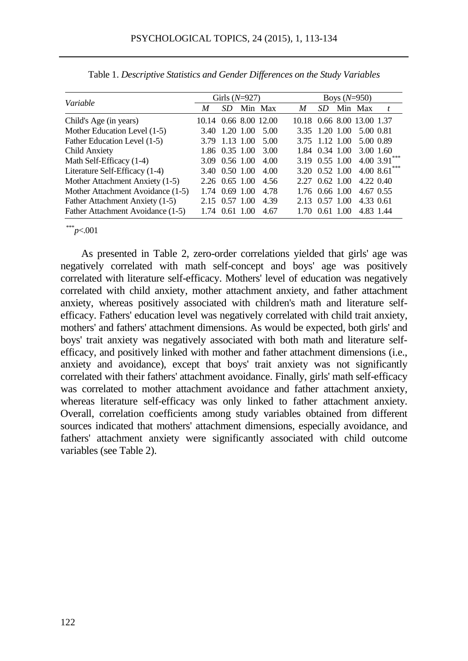|                                   |                       | Girls $(N=927)$              |                     |   |                  | Boys $(N=950)$             |  |
|-----------------------------------|-----------------------|------------------------------|---------------------|---|------------------|----------------------------|--|
| Variable                          | M                     | SD.                          | Min Max             | M | SD.              | Min Max                    |  |
| Child's Age (in years)            | 10.14 0.66 8.00 12.00 |                              |                     |   |                  | 10.18 0.66 8.00 13.00 1.37 |  |
| Mother Education Level (1-5)      | 3.40                  | 1.20 1.00                    | 5.00                |   |                  | 3.35 1.20 1.00 5.00 0.81   |  |
| Father Education Level (1-5)      |                       | 3.79 1.13 1.00               | 5.00                |   | 3.75 1.12 1.00   | 5.00 0.89                  |  |
| Child Anxiety                     |                       |                              | 1.86 0.35 1.00 3.00 |   | 1.84 0.34 1.00   | 3.00 1.60                  |  |
| Math Self-Efficacy (1-4)          |                       | 3.09 0.56 1.00               | 4.00                |   |                  | 3.19 0.55 1.00 4.00 3.91   |  |
| Literature Self-Efficacy (1-4)    |                       | 3.40 0.50 1.00               | 4.00                |   |                  | 3.20 0.52 1.00 4.00 8.61   |  |
| Mother Attachment Anxiety (1-5)   |                       | $2.26 \quad 0.65 \quad 1.00$ | 4.56                |   | 2.27 0.62 1.00   | 4.22 0.40                  |  |
| Mother Attachment Avoidance (1-5) |                       | 1.74 0.69 1.00               | 4.78                |   | $1.76$ 0.66 1.00 | 4.67 0.55                  |  |
| Father Attachment Anxiety (1-5)   |                       | 2.15 0.57 1.00               | 4.39                |   | 2.13 0.57 1.00   | 4.33 0.61                  |  |
| Father Attachment Avoidance (1-5) |                       | 1.74 0.61 1.00               | 4.67                |   | 1.70 0.61 1.00   | 4.83 1.44                  |  |

Table 1. *Descriptive Statistics and Gender Differences on the Study Variables*

\*\*\**p*<.001

As presented in Table 2, zero-order correlations yielded that girls' age was negatively correlated with math self-concept and boys' age was positively correlated with literature self-efficacy. Mothers' level of education was negatively correlated with child anxiety, mother attachment anxiety, and father attachment anxiety, whereas positively associated with children's math and literature selfefficacy. Fathers' education level was negatively correlated with child trait anxiety, mothers' and fathers' attachment dimensions. As would be expected, both girls' and boys' trait anxiety was negatively associated with both math and literature selfefficacy, and positively linked with mother and father attachment dimensions (i.e., anxiety and avoidance), except that boys' trait anxiety was not significantly correlated with their fathers' attachment avoidance. Finally, girls' math self-efficacy was correlated to mother attachment avoidance and father attachment anxiety, whereas literature self-efficacy was only linked to father attachment anxiety. Overall, correlation coefficients among study variables obtained from different sources indicated that mothers' attachment dimensions, especially avoidance, and fathers' attachment anxiety were significantly associated with child outcome variables (see Table 2).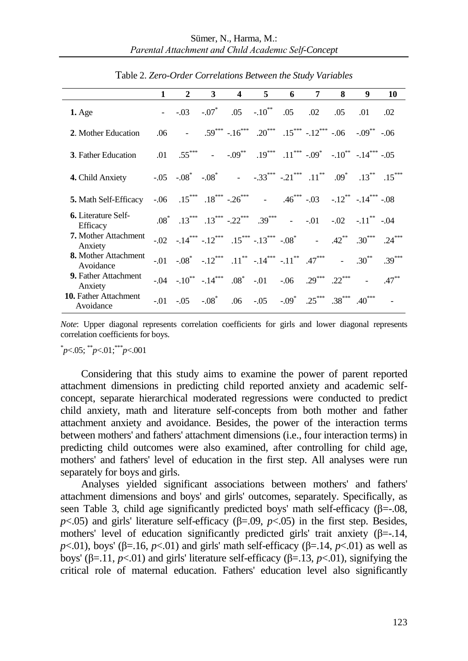|                                           | $\mathbf{1}$ | $\mathbf{2}$                                                                                                                                                                                                                   | $3^{\circ}$ | $\overline{4}$ | $5^{\circ}$ | $6 \qquad$ | $7^{\circ}$         | 8 | 9        | 10       |
|-------------------------------------------|--------------|--------------------------------------------------------------------------------------------------------------------------------------------------------------------------------------------------------------------------------|-------------|----------------|-------------|------------|---------------------|---|----------|----------|
| $1.$ Age                                  |              | - $-.03$ $-.07$ $.05$ $-.10$ <sup>**</sup>                                                                                                                                                                                     |             |                |             |            | $.05 \t .02 \t .05$ |   | .01      | .02      |
| 2. Mother Education                       | .06          | - $.59^{***}$ $-.16^{***}$ $.20^{***}$ $.15^{***}$ $-.12^{***}$ $-.06$ $-.09^{**}$ $-.06$                                                                                                                                      |             |                |             |            |                     |   |          |          |
| <b>3.</b> Father Education                |              | .01 .55*** - $-.09$ ** .19*** .11*** -.09* $-.10$ ** -.14*** -.05                                                                                                                                                              |             |                |             |            |                     |   |          |          |
| 4. Child Anxiety                          |              | $-0.05$ $-0.08$ $-0.08$ $-0.33$ $-0.33$ $-0.11$ $-0.09$ $-0.13$ $-0.15$                                                                                                                                                        |             |                |             |            |                     |   |          |          |
| 5. Math Self-Efficacy                     |              | $-0.06$ $15^{***}$ $18^{***}$ $-26^{***}$ $ 46^{***}$ $-0.03$ $-12^{**}$ $-14^{***}$ $-0.08$                                                                                                                                   |             |                |             |            |                     |   |          |          |
| <b>6.</b> Literature Self-<br>Efficacy    |              | $.08^*$ $.13^{***}$ $.13^{***}$ $.22^{***}$ $.39^{***}$ $.01$ $.02$ $.11^{**}$ $.04$                                                                                                                                           |             |                |             |            |                     |   |          |          |
| <b>7.</b> Mother Attachment<br>Anxiety    |              | $-0.02$ $-14^{***}$ $-12^{***}$ $15^{***}$ $-13^{***}$ $-0.08^{*}$ $ 42^{**}$ $30^{***}$ $.24^{***}$                                                                                                                           |             |                |             |            |                     |   |          |          |
| 8. Mother Attachment<br>Avoidance         |              | $-0.01$ $-0.08^*$ $-12^{***}$ $11^{**}$ $-14^{***}$ $-11^{**}$ $.47^{***}$ $-11^{**}$                                                                                                                                          |             |                |             |            |                     |   | $.30***$ | $.39***$ |
| 9. Father Attachment<br>Anxiety           |              | $-0.04$ $-0.10^{**}$ $-0.14^{***}$ $0.08^{*}$ $-0.01$ $0.06$ $0.29^{***}$ $0.22^{***}$ $0.22^{***}$                                                                                                                            |             |                |             |            |                     |   |          | $.47***$ |
| <b>10.</b> Father Attachment<br>Avoidance |              | $-0.01$ $-0.05$ $-0.08$ $-0.06$ $-0.05$ $-0.09$ $-0.25$ $-0.38$ $-0.01$ $-0.05$ $-0.05$ $-0.05$ $-0.05$ $-0.05$ $-0.05$ $-0.05$ $-0.05$ $-0.05$ $-0.05$ $-0.05$ $-0.05$ $-0.05$ $-0.05$ $-0.05$ $-0.05$ $-0.05$ $-0.05$ $-0.0$ |             |                |             |            |                     |   |          |          |

Table 2. *Zero-Order Correlations Between the Study Variables*

*Note*: Upper diagonal represents correlation coefficients for girls and lower diagonal represents correlation coefficients for boys.

\* *p*<.05; \*\**p*<.01;\*\*\**p*<.001

Considering that this study aims to examine the power of parent reported attachment dimensions in predicting child reported anxiety and academic selfconcept, separate hierarchical moderated regressions were conducted to predict child anxiety, math and literature self-concepts from both mother and father attachment anxiety and avoidance. Besides, the power of the interaction terms between mothers' and fathers' attachment dimensions (i.e., four interaction terms) in predicting child outcomes were also examined, after controlling for child age, mothers' and fathers' level of education in the first step. All analyses were run separately for boys and girls.

Analyses yielded significant associations between mothers' and fathers' attachment dimensions and boys' and girls' outcomes, separately. Specifically, as seen Table 3, child age significantly predicted boys' math self-efficacy  $(\beta = 0.08, \beta)$  $p$ <.05) and girls' literature self-efficacy ( $\beta$ =.09,  $p$ <.05) in the first step. Besides, mothers' level of education significantly predicted girls' trait anxiety ( $\beta$ =-.14, *p*<.01), boys' (β=.16, *p*<.01) and girls' math self-efficacy (β=.14, *p*<.01) as well as boys' (β=.11, *p*<.01) and girls' literature self-efficacy (β=.13, *p*<.01), signifying the critical role of maternal education. Fathers' education level also significantly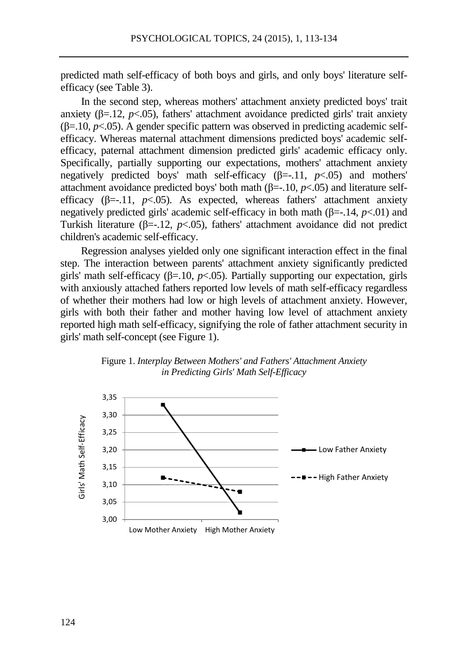predicted math self-efficacy of both boys and girls, and only boys' literature selfefficacy (see Table 3).

In the second step, whereas mothers' attachment anxiety predicted boys' trait anxiety  $(\beta = 12, p < 05)$ , fathers' attachment avoidance predicted girls' trait anxiety  $(\beta = 10, p < 0.05)$ . A gender specific pattern was observed in predicting academic selfefficacy. Whereas maternal attachment dimensions predicted boys' academic selfefficacy, paternal attachment dimension predicted girls' academic efficacy only. Specifically, partially supporting our expectations, mothers' attachment anxiety negatively predicted boys' math self-efficacy  $(\beta = -11, p < .05)$  and mothers' attachment avoidance predicted boys' both math (β=-.10, *p*<.05) and literature selfefficacy (β=-.11, *p*<.05). As expected, whereas fathers' attachment anxiety negatively predicted girls' academic self-efficacy in both math (β=-.14, *p*<.01) and Turkish literature (β=-.12,  $p$ <.05), fathers' attachment avoidance did not predict children's academic self-efficacy.

Regression analyses yielded only one significant interaction effect in the final step. The interaction between parents' attachment anxiety significantly predicted girls' math self-efficacy ( $\beta$ =.10,  $p$ <.05). Partially supporting our expectation, girls with anxiously attached fathers reported low levels of math self-efficacy regardless of whether their mothers had low or high levels of attachment anxiety. However, girls with both their father and mother having low level of attachment anxiety reported high math self-efficacy, signifying the role of father attachment security in girls' math self-concept (see Figure 1).



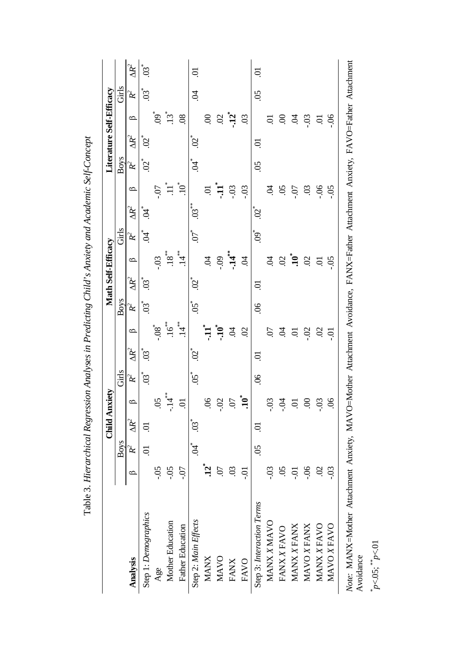|                           |                  |                           |                          | <b>Child Anxiety</b> |                           |              |                    |               | Math Self-Efficacy        |                            |                 |                             |                    |                             |                             | Literature Self-Efficacy |                          |              |
|---------------------------|------------------|---------------------------|--------------------------|----------------------|---------------------------|--------------|--------------------|---------------|---------------------------|----------------------------|-----------------|-----------------------------|--------------------|-----------------------------|-----------------------------|--------------------------|--------------------------|--------------|
|                           |                  | Boys                      |                          |                      | Girls                     |              |                    | <b>Boys</b>   |                           |                            | Girls           |                             |                    | Boys                        |                             |                          | Girls                    |              |
| <b>Analysis</b>           | $\circ$          | Ķ                         | $\mathbb{R}^2$           | $\circ$              | Ķ                         | $\Delta R^2$ | $\circ$            | ፝К            | $\Delta R^2$              | $\circ$                    | ፝К              | $\Delta R^2$                | ≏                  | Ķ                           | $\Delta R^2$                | $\circ$                  | Ķ                        | $\Delta R^2$ |
| Step 1: Demographics      |                  | Ξ.                        | S                        |                      | $\widetilde{\mathbb{S}}$  | ື່           |                    | .<br>ප        | $\mathfrak{S}^*$          |                            | $\mathcal{P}^*$ | Ĕ,                          |                    | $\widetilde{\mathcal{S}}^*$ | $\widetilde{\mathcal{S}}^*$ |                          | $\widetilde{\mathbb{S}}$ | 03           |
| Age                       | Ś,               |                           |                          | S                    |                           |              |                    |               |                           | -03                        |                 |                             | -07                |                             |                             | وم*<br>:0                |                          |              |
| Mother Education          | 50.-             |                           |                          | $-14$ <sup>**</sup>  |                           |              | $16$ <sup>**</sup> |               |                           | $18^{**}$                  |                 |                             | $\equiv$           |                             |                             | ني<br>ن                  |                          |              |
| <b>Father Education</b>   | <u>20'</u>       |                           |                          | <b>i</b>             |                           |              | $14$ <sup>**</sup> |               |                           | $\overset{*}{\mathcal{A}}$ |                 |                             | ื่อ"               |                             |                             | $\overline{0}$           |                          |              |
| Step 2: Main Effects      |                  | Ë.                        | $\widetilde{\mathbb{S}}$ |                      | گ<br>50                   | ัั⁄2         |                    | 50.           | $\widetilde{\mathcal{S}}$ |                            | 6.              | $\ddot{\mathbf{S}}$         |                    | Ĕ,                          | $\widetilde{\mathcal{S}}$   |                          | S.                       | ā            |
| <b>MANX</b>               | <u>ני,</u>       |                           |                          | S.                   |                           |              |                    |               |                           | Ŕ                          |                 |                             |                    |                             |                             | $\mathcal{S}$            |                          |              |
| <b>MAVO</b>               | $\tilde{\omega}$ |                           |                          | Ω.                   |                           |              | $-10^{*}$          |               |                           | <b>eo-</b>                 |                 |                             | ֓֓֓֓ <b>֓</b> ׇ֓׆֓ |                             |                             | S                        |                          |              |
| <b>FANX</b>               | $\mathfrak{S}$   |                           |                          | $\Omega$             |                           |              | Ŕ                  |               |                           | $\ddot{14}$                |                 |                             | $-0.3$             |                             |                             | <u>ְּק</u>               |                          |              |
| FAVO                      | ຣຸ               |                           |                          | $\mathbf{10}^*$      |                           |              | S                  |               |                           | Ŕ                          |                 |                             | $-0.3$             |                             |                             | $\overline{0}$           |                          |              |
| Step 3: Interaction Terms |                  | $\widetilde{\mathrm{SO}}$ | కె                       |                      | $\widetilde{\mathcal{S}}$ | ತ            |                    | $\mathcal{S}$ | ತ್ತ                       |                            | ڰ.<br>۞         | $\widetilde{\mathcal{S}}^*$ |                    | S,                          | ತ                           |                          | $\widetilde{S}$          | ತ್ತ          |
| MANX XMAVO                | .co              |                           |                          | Ξ.                   |                           |              | Θ.                 |               |                           | Ŕ                          |                 |                             | S.                 |                             |                             | ਠ                        |                          |              |
| <b>FANX X FAVO</b>        | S.               |                           |                          | Ř                    |                           |              | Ŕ                  |               |                           | $\mathcal{S}$              |                 |                             | 80.                |                             |                             | S                        |                          |              |
| MANX X FANX               | ຣຸ               |                           |                          | ā                    |                           |              | ā                  |               |                           | $\mathbf{10}^*$            |                 |                             | $-0.7$             |                             |                             | Ś.                       |                          |              |
| MAVO X FANX               | 90.-             |                           |                          | 8                    |                           |              | -.02               |               |                           | $\mathcal{S}$              |                 |                             | $\overline{c}$     |                             |                             | $-0.3$                   |                          |              |
| MANX X FAVO               | $\mathfrak{S}$   |                           |                          | SO-                  |                           |              | S                  |               |                           | S.                         |                 |                             | $-06$              |                             |                             | ā                        |                          |              |
| MAVOX FAVO                | SO-              |                           |                          | S.                   |                           |              | ຣຸ                 |               |                           | $-0.5$                     |                 |                             | $-0.5$             |                             |                             | $-0.6$                   |                          |              |

| l                           |
|-----------------------------|
| $\overline{a}$              |
|                             |
|                             |
| Ì                           |
|                             |
|                             |
|                             |
|                             |
| $\sim$ $\sim$ $\sim$ $\sim$ |
|                             |
|                             |
|                             |
|                             |
|                             |
| ;<br>;<br>;                 |
|                             |
|                             |
|                             |
|                             |
|                             |
|                             |
|                             |
|                             |
|                             |
|                             |
|                             |
| l                           |
|                             |
| נות היה ה                   |
|                             |
|                             |
|                             |
|                             |
|                             |
|                             |
|                             |
|                             |
|                             |
|                             |
|                             |
|                             |
| $\ddotsc$<br>ļ              |
|                             |
|                             |
|                             |
|                             |
|                             |
|                             |
|                             |
|                             |
| j<br>I                      |
|                             |
| l                           |
| l                           |
| ادام T<br>i                 |

Avoidance<br>*p*<.05;  $\stackrel{*}{p}$ *p*<.01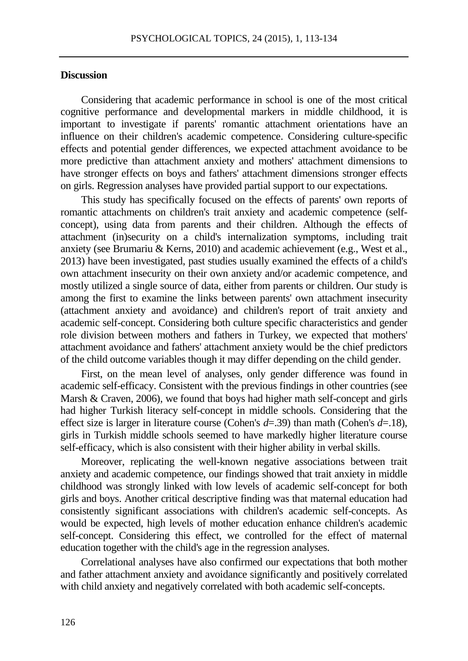## **Discussion**

Considering that academic performance in school is one of the most critical cognitive performance and developmental markers in middle childhood, it is important to investigate if parents' romantic attachment orientations have an influence on their children's academic competence. Considering culture-specific effects and potential gender differences, we expected attachment avoidance to be more predictive than attachment anxiety and mothers' attachment dimensions to have stronger effects on boys and fathers' attachment dimensions stronger effects on girls. Regression analyses have provided partial support to our expectations.

This study has specifically focused on the effects of parents' own reports of romantic attachments on children's trait anxiety and academic competence (selfconcept), using data from parents and their children. Although the effects of attachment (in)security on a child's internalization symptoms, including trait anxiety (see Brumariu & Kerns, 2010) and academic achievement (e.g., West et al., 2013) have been investigated, past studies usually examined the effects of a child's own attachment insecurity on their own anxiety and/or academic competence, and mostly utilized a single source of data, either from parents or children. Our study is among the first to examine the links between parents' own attachment insecurity (attachment anxiety and avoidance) and children's report of trait anxiety and academic self-concept. Considering both culture specific characteristics and gender role division between mothers and fathers in Turkey, we expected that mothers' attachment avoidance and fathers' attachment anxiety would be the chief predictors of the child outcome variables though it may differ depending on the child gender.

First, on the mean level of analyses, only gender difference was found in academic self-efficacy. Consistent with the previous findings in other countries (see Marsh & Craven, 2006), we found that boys had higher math self-concept and girls had higher Turkish literacy self-concept in middle schools. Considering that the effect size is larger in literature course (Cohen's *d*=.39) than math (Cohen's *d*=.18), girls in Turkish middle schools seemed to have markedly higher literature course self-efficacy, which is also consistent with their higher ability in verbal skills.

Moreover, replicating the well-known negative associations between trait anxiety and academic competence, our findings showed that trait anxiety in middle childhood was strongly linked with low levels of academic self-concept for both girls and boys. Another critical descriptive finding was that maternal education had consistently significant associations with children's academic self-concepts. As would be expected, high levels of mother education enhance children's academic self-concept. Considering this effect, we controlled for the effect of maternal education together with the child's age in the regression analyses.

Correlational analyses have also confirmed our expectations that both mother and father attachment anxiety and avoidance significantly and positively correlated with child anxiety and negatively correlated with both academic self-concepts.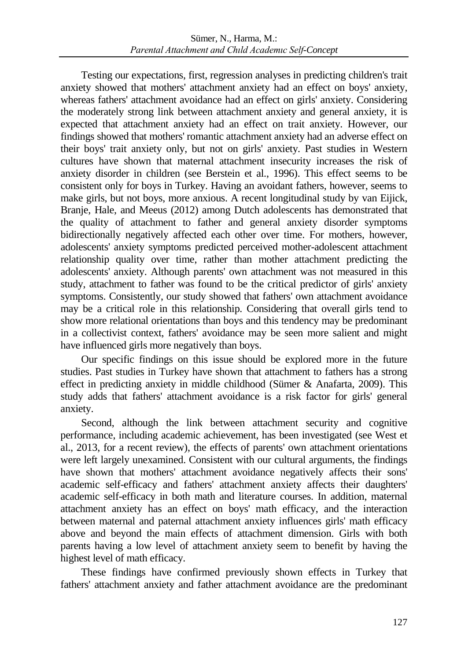Testing our expectations, first, regression analyses in predicting children's trait anxiety showed that mothers' attachment anxiety had an effect on boys' anxiety, whereas fathers' attachment avoidance had an effect on girls' anxiety. Considering the moderately strong link between attachment anxiety and general anxiety, it is expected that attachment anxiety had an effect on trait anxiety. However, our findings showed that mothers' romantic attachment anxiety had an adverse effect on their boys' trait anxiety only, but not on girls' anxiety. Past studies in Western cultures have shown that maternal attachment insecurity increases the risk of anxiety disorder in children (see Berstein et al., 1996). This effect seems to be consistent only for boys in Turkey. Having an avoidant fathers, however, seems to make girls, but not boys, more anxious. A recent longitudinal study by van Eijick, Branje, Hale, and Meeus (2012) among Dutch adolescents has demonstrated that the quality of attachment to father and general anxiety disorder symptoms bidirectionally negatively affected each other over time. For mothers, however, adolescents' anxiety symptoms predicted perceived mother-adolescent attachment relationship quality over time, rather than mother attachment predicting the adolescents' anxiety. Although parents' own attachment was not measured in this study, attachment to father was found to be the critical predictor of girls' anxiety symptoms. Consistently, our study showed that fathers' own attachment avoidance may be a critical role in this relationship. Considering that overall girls tend to show more relational orientations than boys and this tendency may be predominant in a collectivist context, fathers' avoidance may be seen more salient and might have influenced girls more negatively than boys.

Our specific findings on this issue should be explored more in the future studies. Past studies in Turkey have shown that attachment to fathers has a strong effect in predicting anxiety in middle childhood (Sümer & Anafarta, 2009). This study adds that fathers' attachment avoidance is a risk factor for girls' general anxiety.

Second, although the link between attachment security and cognitive performance, including academic achievement, has been investigated (see West et al., 2013, for a recent review), the effects of parents' own attachment orientations were left largely unexamined. Consistent with our cultural arguments, the findings have shown that mothers' attachment avoidance negatively affects their sons' academic self-efficacy and fathers' attachment anxiety affects their daughters' academic self-efficacy in both math and literature courses. In addition, maternal attachment anxiety has an effect on boys' math efficacy, and the interaction between maternal and paternal attachment anxiety influences girls' math efficacy above and beyond the main effects of attachment dimension. Girls with both parents having a low level of attachment anxiety seem to benefit by having the highest level of math efficacy.

These findings have confirmed previously shown effects in Turkey that fathers' attachment anxiety and father attachment avoidance are the predominant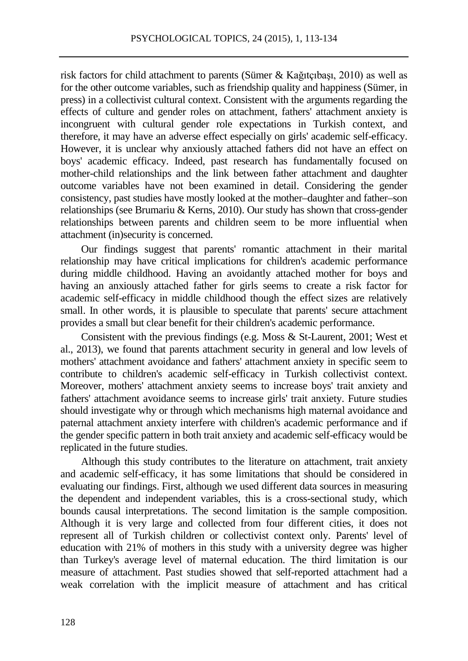risk factors for child attachment to parents (Sümer & Kağıtçıbaşı, 2010) as well as for the other outcome variables, such as friendship quality and happiness (Sümer, in press) in a collectivist cultural context. Consistent with the arguments regarding the effects of culture and gender roles on attachment, fathers' attachment anxiety is incongruent with cultural gender role expectations in Turkish context, and therefore, it may have an adverse effect especially on girls' academic self-efficacy. However, it is unclear why anxiously attached fathers did not have an effect on boys' academic efficacy. Indeed, past research has fundamentally focused on mother-child relationships and the link between father attachment and daughter outcome variables have not been examined in detail. Considering the gender consistency, past studies have mostly looked at the mother–daughter and father–son relationships (see Brumariu & Kerns, 2010). Our study has shown that cross-gender relationships between parents and children seem to be more influential when attachment (in)security is concerned.

Our findings suggest that parents' romantic attachment in their marital relationship may have critical implications for children's academic performance during middle childhood. Having an avoidantly attached mother for boys and having an anxiously attached father for girls seems to create a risk factor for academic self-efficacy in middle childhood though the effect sizes are relatively small. In other words, it is plausible to speculate that parents' secure attachment provides a small but clear benefit for their children's academic performance.

Consistent with the previous findings (e.g. Moss & St-Laurent, 2001; West et al., 2013), we found that parents attachment security in general and low levels of mothers' attachment avoidance and fathers' attachment anxiety in specific seem to contribute to children's academic self-efficacy in Turkish collectivist context. Moreover, mothers' attachment anxiety seems to increase boys' trait anxiety and fathers' attachment avoidance seems to increase girls' trait anxiety. Future studies should investigate why or through which mechanisms high maternal avoidance and paternal attachment anxiety interfere with children's academic performance and if the gender specific pattern in both trait anxiety and academic self-efficacy would be replicated in the future studies.

Although this study contributes to the literature on attachment, trait anxiety and academic self-efficacy, it has some limitations that should be considered in evaluating our findings. First, although we used different data sources in measuring the dependent and independent variables, this is a cross-sectional study, which bounds causal interpretations. The second limitation is the sample composition. Although it is very large and collected from four different cities, it does not represent all of Turkish children or collectivist context only. Parents' level of education with 21% of mothers in this study with a university degree was higher than Turkey's average level of maternal education. The third limitation is our measure of attachment. Past studies showed that self-reported attachment had a weak correlation with the implicit measure of attachment and has critical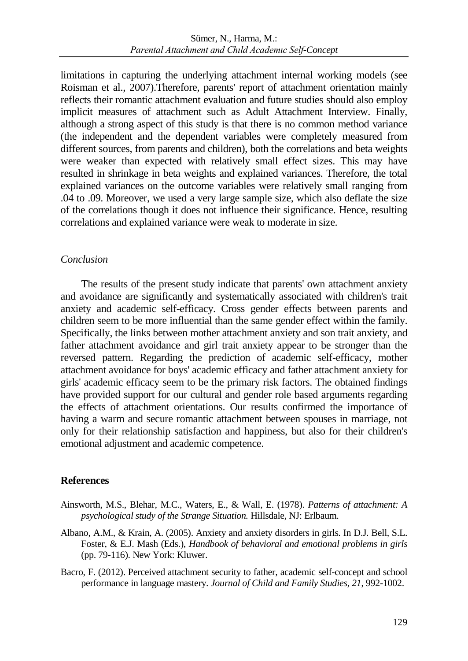limitations in capturing the underlying attachment internal working models (see Roisman et al., 2007).Therefore, parents' report of attachment orientation mainly reflects their romantic attachment evaluation and future studies should also employ implicit measures of attachment such as Adult Attachment Interview. Finally, although a strong aspect of this study is that there is no common method variance (the independent and the dependent variables were completely measured from different sources, from parents and children), both the correlations and beta weights were weaker than expected with relatively small effect sizes. This may have resulted in shrinkage in beta weights and explained variances. Therefore, the total explained variances on the outcome variables were relatively small ranging from .04 to .09. Moreover, we used a very large sample size, which also deflate the size of the correlations though it does not influence their significance. Hence, resulting correlations and explained variance were weak to moderate in size.

# *Conclusion*

The results of the present study indicate that parents' own attachment anxiety and avoidance are significantly and systematically associated with children's trait anxiety and academic self-efficacy. Cross gender effects between parents and children seem to be more influential than the same gender effect within the family. Specifically, the links between mother attachment anxiety and son trait anxiety, and father attachment avoidance and girl trait anxiety appear to be stronger than the reversed pattern. Regarding the prediction of academic self-efficacy, mother attachment avoidance for boys' academic efficacy and father attachment anxiety for girls' academic efficacy seem to be the primary risk factors. The obtained findings have provided support for our cultural and gender role based arguments regarding the effects of attachment orientations. Our results confirmed the importance of having a warm and secure romantic attachment between spouses in marriage, not only for their relationship satisfaction and happiness, but also for their children's emotional adjustment and academic competence.

# **References**

- Ainsworth, M.S., Blehar, M.C., Waters, E., & Wall, E. (1978). *Patterns of attachment: A psychological study of the Strange Situation.* Hillsdale, NJ: Erlbaum.
- Albano, A.M., & Krain, A. (2005). Anxiety and anxiety disorders in girls. In D.J. Bell, S.L. Foster, & E.J. Mash (Eds.), *Handbook of behavioral and emotional problems in girls* (pp. 79-116). New York: Kluwer.
- Bacro, F. (2012). Perceived attachment security to father, academic self-concept and school performance in language mastery. *Journal of Child and Family Studies, 21*, 992-1002.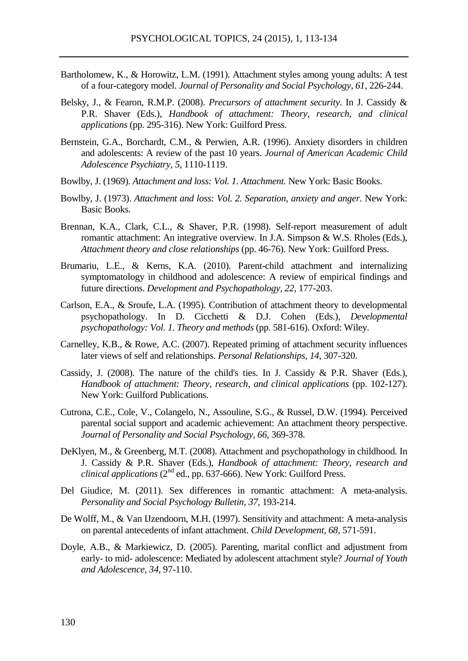- Bartholomew, K., & Horowitz, L.M. (1991). Attachment styles among young adults: A test of a four-category model. *Journal of Personality and Social Psychology, 61*, 226-244.
- Belsky, J., & Fearon, R.M.P. (2008). *Precursors of attachment security*. In J. Cassidy & P.R. Shaver (Eds.), *Handbook of attachment: Theory, research, and clinical applications* (pp. 295-316). New York: Guilford Press.
- Bernstein, G.A., Borchardt, C.M., & Perwien, A.R. (1996). Anxiety disorders in children and adolescents: A review of the past 10 years. *Journal of American Academic Child Adolescence Psychiatry, 5,* 1110-1119.
- Bowlby, J. (1969). *Attachment and loss: Vol. 1. Attachment.* New York: Basic Books.
- Bowlby, J. (1973). *Attachment and loss: Vol. 2. Separation, anxiety and anger*. New York: Basic Books.
- Brennan, K.A., Clark, C.L., & Shaver, P.R. (1998). Self-report measurement of adult romantic attachment: An integrative overview. In J.A. Simpson & W.S. Rholes (Eds.), *Attachment theory and close relationships* (pp. 46-76). New York: Guilford Press.
- Brumariu, L.E., & Kerns, K.A. (2010). Parent-child attachment and internalizing symptomatology in childhood and adolescence: A review of empirical findings and future directions. *Development and Psychopathology, 22,* 177-203.
- Carlson, E.A., & Sroufe, L.A. (1995). Contribution of attachment theory to developmental psychopathology. In D. Cicchetti & D.J. Cohen (Eds.), *Developmental psychopathology: Vol. 1. Theory and methods* (pp. 581-616). Oxford: Wiley.
- Carnelley, K.B., & Rowe, A.C. (2007). Repeated priming of attachment security influences later views of self and relationships. *Personal Relationships, 14*, 307-320.
- Cassidy, J. (2008). The nature of the child's ties. In J. Cassidy & P.R. Shaver (Eds.), *Handbook of attachment: Theory, research, and clinical applications* (pp. 102-127). New York: Guilford Publications.
- Cutrona, C.E., Cole, V., Colangelo, N., Assouline, S.G., & Russel, D.W. (1994). Perceived parental social support and academic achievement: An attachment theory perspective. *Journal of Personality and Social Psychology, 66*, 369-378.
- DeKlyen, M., & Greenberg, M.T. (2008). Attachment and psychopathology in childhood*.* In J. Cassidy & P.R. Shaver (Eds.), *Handbook of attachment: Theory, research and clinical applications* (2<sup>nd</sup> ed., pp. 637-666). New York: Guilford Press.
- Del Giudice, M. (2011). Sex differences in romantic attachment: A meta-analysis. *Personality and Social Psychology Bulletin, 37,* 193-214.
- De Wolff, M., & Van IJzendoorn, M.H. (1997). Sensitivity and attachment: A meta-analysis on parental antecedents of infant attachment. *Child Development, 68,* 571-591.
- Doyle, A.B., & Markiewicz, D. (2005). Parenting, marital conflict and adjustment from early- to mid- adolescence: Mediated by adolescent attachment style? *Journal of Youth and Adolescence, 34,* 97-110.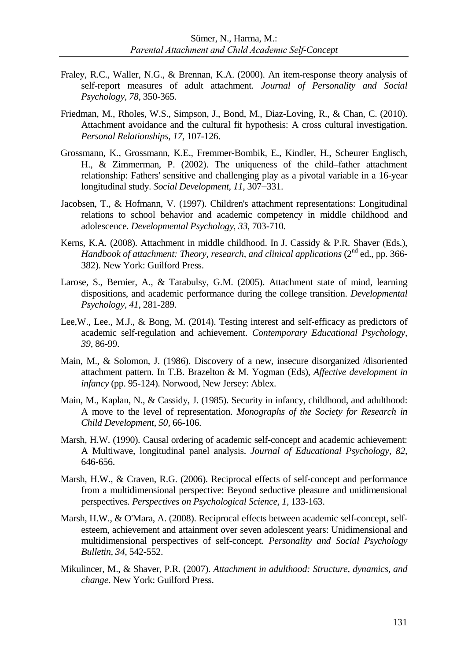- Fraley, R.C., Waller, N.G., & Brennan, K.A. (2000). An item-response theory analysis of self-report measures of adult attachment. *Journal of Personality and Social Psychology, 78,* 350-365.
- Friedman, M., Rholes, W.S., Simpson, J., Bond, M., Diaz-Loving, R., & Chan, C. (2010). Attachment avoidance and the cultural fit hypothesis: A cross cultural investigation. *Personal Relationships, 17,* 107-126.
- Grossmann, K., Grossmann, K.E., Fremmer-Bombik, E., Kindler, H., Scheurer Englisch, H., & Zimmerman, P. (2002). The uniqueness of the child–father attachment relationship: Fathers' sensitive and challenging play as a pivotal variable in a 16-year longitudinal study. *Social Development, 11*, 307−331.
- Jacobsen, T., & Hofmann, V. (1997). Children's attachment representations: Longitudinal relations to school behavior and academic competency in middle childhood and adolescence. *Developmental Psychology*, *33*, 703-710.
- Kerns, K.A. (2008). Attachment in middle childhood. In J. Cassidy & P.R. Shaver (Eds.), *Handbook of attachment: Theory, research, and clinical applications* (2<sup>nd</sup> ed., pp. 366-382). New York: Guilford Press.
- Larose, S., Bernier, A., & Tarabulsy, G.M. (2005). Attachment state of mind, learning dispositions, and academic performance during the college transition. *Developmental Psychology, 41,* 281-289.
- Lee,W., Lee., M.J., & Bong, M. (2014). Testing interest and self-efficacy as predictors of academic self-regulation and achievement. *Contemporary Educational Psychology, 39*, 86-99.
- Main, M., & Solomon, J. (1986). Discovery of a new, insecure disorganized /disoriented attachment pattern. In T.B. Brazelton & M. Yogman (Eds), *Affective development in infancy* (pp. 95-124). Norwood, New Jersey: Ablex.
- Main, M., Kaplan, N., & Cassidy, J. (1985). Security in infancy, childhood, and adulthood: A move to the level of representation. *Monographs of the Society for Research in Child Development, 50,* 66-106.
- Marsh, H.W. (1990). Causal ordering of academic self-concept and academic achievement: A Multiwave, longitudinal panel analysis. *Journal of Educational Psychology, 82,*  646-656.
- Marsh, H.W., & Craven, R.G. (2006). Reciprocal effects of self-concept and performance from a multidimensional perspective: Beyond seductive pleasure and unidimensional perspectives. *Perspectives on Psychological Science, 1,* 133-163.
- Marsh, H.W., & O'Mara, A. (2008). Reciprocal effects between academic self-concept, selfesteem, achievement and attainment over seven adolescent years: Unidimensional and multidimensional perspectives of self-concept. *Personality and Social Psychology Bulletin, 34,* 542-552.
- Mikulincer, M., & Shaver, P.R. (2007). *Attachment in adulthood: Structure, dynamics, and change*. New York: Guilford Press.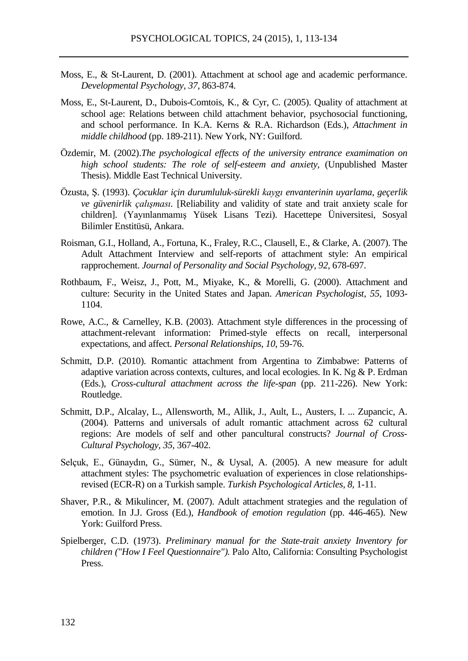- Moss, E., & St-Laurent, D. (2001). Attachment at school age and academic performance. *Developmental Psychology, 37,* 863-874.
- Moss, E., St-Laurent, D., Dubois-Comtois, K., & Cyr, C. (2005). Quality of attachment at school age: Relations between child attachment behavior, psychosocial functioning, and school performance. In K.A. Kerns & R.A. Richardson (Eds.), *Attachment in middle childhood* (pp. 189-211). New York, NY: Guilford.
- Özdemir, M. (2002).*The psychological effects of the university entrance examimation on high school students: The role of self-esteem and anxiety,* (Unpublished Master Thesis). Middle East Technical University.
- Özusta, Ş. (1993). *Çocuklar için durumluluk-sürekli kaygı envanterinin uyarlama, geçerlik ve güvenirlik çalışması.* [Reliability and validity of state and trait anxiety scale for children]. (Yayınlanmamış Yüsek Lisans Tezi). Hacettepe Üniversitesi, Sosyal Bilimler Enstitüsü, Ankara.
- Roisman, G.I., Holland, A., Fortuna, K., Fraley, R.C., Clausell, E., & Clarke, A. (2007). The Adult Attachment Interview and self-reports of attachment style: An empirical rapprochement. *Journal of Personality and Social Psychology, 92*, 678-697.
- Rothbaum, F., Weisz, J., Pott, M., Miyake, K., & Morelli, G. (2000). Attachment and culture: Security in the United States and Japan. *American Psychologist, 55*, 1093- 1104.
- Rowe, A.C., & Carnelley, K.B. (2003). Attachment style differences in the processing of attachment-relevant information: Primed-style effects on recall, interpersonal expectations, and affect. *Personal Relationships, 10*, 59-76.
- Schmitt, D.P. (2010). Romantic attachment from Argentina to Zimbabwe: Patterns of adaptive variation across contexts, cultures, and local ecologies. In K. Ng & P. Erdman (Eds.), *Cross-cultural attachment across the life-span* (pp. 211-226). New York: Routledge.
- Schmitt, D.P., Alcalay, L., Allensworth, M., Allik, J., Ault, L., Austers, I. ... Zupancic, A. (2004). Patterns and universals of adult romantic attachment across 62 cultural regions: Are models of self and other pancultural constructs? *Journal of Cross-Cultural Psychology, 35,* 367-402.
- Selçuk, E., Günaydın, G., Sümer, N., & Uysal, A. (2005). A new measure for adult attachment styles: The psychometric evaluation of experiences in close relationshipsrevised (ECR-R) on a Turkish sample. *Turkish Psychological Articles, 8*, 1-11.
- Shaver, P.R., & Mikulincer, M. (2007). Adult attachment strategies and the regulation of emotion. In J.J. Gross (Ed.), *Handbook of emotion regulation* (pp. 446-465). New York: Guilford Press.
- Spielberger, C.D. (1973). *Preliminary manual for the State-trait anxiety Inventory for children ("How I Feel Questionnaire").* Palo Alto, California: Consulting Psychologist Press.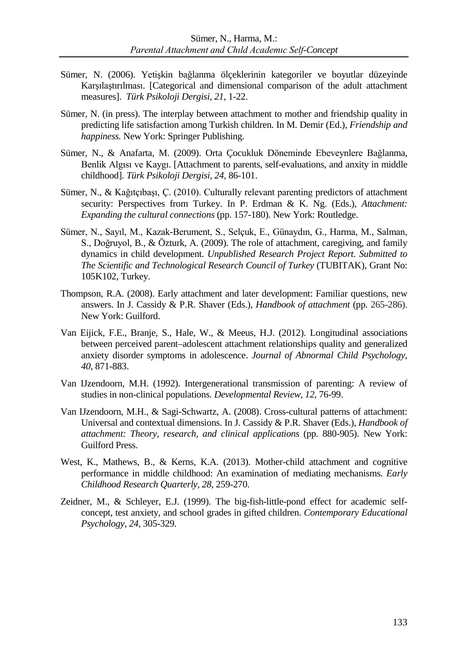- Sümer, N. (2006). Yetişkin bağlanma ölçeklerinin kategoriler ve boyutlar düzeyinde Karşılaştırılması. [Categorical and dimensional comparison of the adult attachment measures]. *Türk Psikoloji Dergisi, 21,* 1-22.
- Sümer, N. (in press). The interplay between attachment to mother and friendship quality in predicting life satisfaction among Turkish children. In M. Demir (Ed.), *Friendship and happiness.* New York: Springer Publishing.
- Sümer, N., & Anafarta, M. (2009). Orta Çocukluk Döneminde Ebeveynlere Bağlanma, Benlik Algısı ve Kaygı. [Attachment to parents, self-evaluations, and anxity in middle childhood]. *Türk Psikoloji Dergisi, 24,* 86-101.
- Sümer, N., & Kağıtçıbaşı, Ç. (2010). Culturally relevant parenting predictors of attachment security: Perspectives from Turkey. In P. Erdman & K. Ng. (Eds.), *Attachment: Expanding the cultural connections* (pp. 157-180). New York: Routledge.
- Sümer, N., Sayıl, M., Kazak-Berument, S., Selçuk, E., Günaydın, G., Harma, M., Salman, S., Doğruyol, B., & Özturk, A. (2009). The role of attachment, caregiving, and family dynamics in child development. *Unpublished Research Project Report. Submitted to The Scientific and Technological Research Council of Turkey* (TUBITAK), Grant No: 105K102, Turkey.
- Thompson, R.A. (2008). Early attachment and later development: Familiar questions, new answers. In J. Cassidy & P.R. Shaver (Eds.), *Handbook of attachment* (pp. 265-286). New York: Guilford.
- Van Eijick, F.E., Branje, S., Hale, W., & Meeus, H.J. (2012). Longitudinal associations between perceived parent–adolescent attachment relationships quality and generalized anxiety disorder symptoms in adolescence. *Journal of Abnormal Child Psychology, 40,* 871-883.
- Van IJzendoorn, M.H. (1992). Intergenerational transmission of parenting: A review of studies in non-clinical populations. *Developmental Review, 12*, 76-99.
- Van IJzendoorn, M.H., & Sagi-Schwartz, A. (2008). Cross-cultural patterns of attachment: Universal and contextual dimensions. In J. Cassidy & P.R. Shaver (Eds.), *Handbook of attachment: Theory, research, and clinical applications* (pp. 880-905). New York: Guilford Press.
- West, K., Mathews, B., & Kerns, K.A. (2013). Mother-child attachment and cognitive performance in middle childhood: An examination of mediating mechanisms. *Early Childhood Research Quarterly, 28,* 259-270.
- Zeidner, M., & Schleyer, E.J. (1999). The big-fish-little-pond effect for academic selfconcept, test anxiety, and school grades in gifted children. *Contemporary Educational Psychology*, *24*, 305-329.